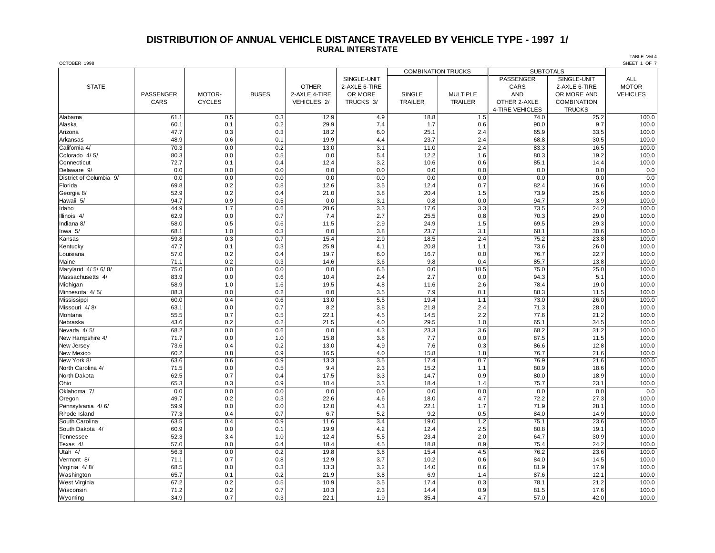#### **DISTRIBUTION OF ANNUAL VEHICLE DISTANCE TRAVELED BY VEHICLE TYPE - 1997 1/ RURAL INTERSTATE**

OCTOBER 1998 SHEET 1 OF 7 COMBINATION TRUCKS **SUBTOTALS** SINGLE-UNIT **ALL PASSENGER** SINGLE-UNIT ALL STATE OTHER 2-AXLE 6-TIRE CARS 2-AXLE 6-TIRE MOTOR PASSENGER | MOTOR- | BUSES |2-AXLE 4-TIRE | OR MORE | SINGLE | MULTIPLE || AND | OR MORE AND || VEHICLES CARS CYCLES VEHICLES 2/ TRUCKS 3/ TRAILER TRAILER OTHER 2-AXLE COMBINATION 4-TIRE VEHICLES TRUCKS Alabama 61.1 0.5 0.3 12.9 4.9 18.8 1.5 74.0 25.2 100.0 Alaska 60.1 | 0.1 | 0.2 | 29.9 | 7.4 | 1.7 | 0.6 | 90.0 | 9.7 || 100.0 Arizona 47.7 0.3 0.3 18.2 6.0 25.1 2.4 65.9 33.5 100.0 Arkansas 48.9 0.6 0.1 19.9 4.4 23.7 2.4 68.8 30.5 100.0 California 4/ 70.3 | 0.0 | 0.2 | 13.0 | 13.1 | 11.0 | 2.4 | 83.3 | 16.5 || 100.0 Colorado 4/ 5/ 80.3 | 0.0 | 0.5 | 0.0 | 5.4 | 1.2.2 | 1.6 | 80.3 | 100.0 Connecticut 72.7 | 0.1 | 0.4 | 12.4 | 10.6 | 0.6 | 85.1 | 14.4 || 100.0 Delaware 9/ 0.0 0.0 0.0 0.0 0.0 0.0 0.0 0.0 0.0 0.0 اً District of Columbia 9/ | 0.0 0.0 | 0.0 | 0.0 | 0.0 | 0.0 | 0.0 | 0.0 | 0.0 | 0.0 | 0.0 | 0.0 | 0.0 | 0.0 | Florida 69.8 0.2 0.8 12.6 3.5 12.4 0.7 82.4 16.6 100.0 Georgia 8/ 52.9 | 0.2 | 0.4 | 21.0 | 3.8 | 1.5 | 73.9 | 25.6 || 100.0 Hawaii 5/ 94.7 | 0.9 | 0.5 | 0.0 | 3.1 | 0.8 | 0.0 | 94.7 | 100.0 | 1 Idaho 44.9 | 1.7 | 0.6 | 28.6 | 3.3 | 17.6 | 3.3 | 73.5 | 24.2 || 100.0 Illinois 4/ 62.9 | 0.0 | 0.7 | 2.7 | 25.5 | 0.8 | 70.3 | 29.0 | 100.0 Indiana 8/ 58.0 | 0.5 | 0.6 | 11.5 | 2.9 | 1.9.9 | 69.5 | 29.3 || 100.0 lowa 5/ 68.1 | 1.0 | 0.3 | 0.0 | 3.8 | 23.7 | 3.1 | 68.1 | 30.6 || 100.0 Kansas 59.8 0.3 0.7 15.4 2.9 18.5 2.4 75.2 23.8 100.0 Kentucky 47.7 | 0.1 | 0.3 | 25.9 | 4.1 | 20.8 | 1.1 || 73.6 | 26.0 || 100.0 Louisiana 57.0 0.2 0.4 19.7 6.0 16.7 0.0 76.7 22.7 100.0 Maine 71.1 | 0.2 | 0.3 | 14.6 | 3.6 | 9.8 | 0.4 | 85.7 | 13.8 || 100.0 Maryland 4/ 5/ 6/ 8/ | 75.0 | 0.0 | 0.0 | 6.5 | 0.0 | 18.5 || 75.0 | 100.0 Massachusetts 4/ | 83.9 | 0.0 | 0.6 | 10.4 | 2.4 | 2.7 | 0.0 | 94.3 | 5.1 || 100.0 Michigan 58.9 1.0 1.6 19.5 4.8 11.6 2.6 78.4 19.0 100.0 Minnesota 4/ 5/ | 88.3 | 0.0 | 0.0 | 3.5 | 7.9 | 0.1 | 88.3 | 11.5 || 100.0 Mississippi | 60.0 | 0.4 | 0.6 | 13.0 | 5.5 | 19.4 | 1.1 | 73.0 | 26.0 | 100.0 Missouri 4/ 8/ 63.1 | 0.0 | 0.7 | 8.2 | 3.8 | 21.8 | 2.4 | 71.3 | 28.0 || 100.0 Montana 55.5 | 0.7 | 0.5 | 22.1 | 4.5 | 14.5 | 2.2 || 77.6 | 21.2 || 100.0 0.2 1.0 100.0 21.5 1.0 2.5 1.0 2.5 4.0 2.5 4.0 2.0 2.5 4.0 5.1 34.5 1.0 34.5 1.0 Nevada 4/5/ | 68.2 | 0.0 | 0.6 | 0.0 | 4.3 | 3.3 | 3.6 | 68.2 | 100.0 New Hampshire 4/ 71.7 0.0 1.0 15.8 3.8 7.7 0.0 87.5 11.5 100.0 New Jersey 73.6 | 0.4 | 0.2 | 13.0 | 4.9 | 7.6 | 86.6 | 12.8 || 100.0 New Mexico 60.2 | 0.8 | 0.9 | 16.5 | 4.0 | 15.8 | 1.8 || 76.7 | 21.6 || 100.0 New York 8/ 63.6 | 0.6 | 0.9 | 13.3 | 17.4 | 0.7 | 76.9 | 21.6 || 100.0 North Carolina 4/ | 71.5 | 0.0 | 0.5 | 9.4 | 12.3 | 15.2 | 1.1 || 80.9 | 18.6 || 100.0 North Dakota | 62.5 | 0.7 | 0.4 | 17.5 | 13.3 | 14.7 | 0.9 | 18.9 | 100.0 Ohio 65.3 0.3 0.9 10.4 3.3 18.4 1.4 75.7 23.1 100.0 Oklahoma 7/ 0.0 0.0 0.0 0.0 0.0 0.0 0.0 0.0 0.0 Oregon 49.7 | 0.2 | 0.3 | 22.6 | 4.6 | 18.0 | 4.7 | 72.2 | 27.3 || 100.0 Pennsylvania 4/ 6/ | 59.9 | 0.0 | 12.0 | 4.3 | 22.1 | 1.7 || 71.9 | 28.1 || 100.0 Rhode Island | 77.3 | 0.4 | 0.7 | 6.7 | 5.2 | 9.2 | 0.5 | 84.0 | 100.0 South Carolina | 63.5 | 0.4 | 0.9 | 11.6 | 3.4 | 19.0 | 1.2 || 75.1 | 23.6 || 100.0 South Dakota 4/ | 60.9 | 0.0 | 0.1 | 19.9 | 4.2 | 12.4 | 80.8 | 19.1 | 100.0 Tennessee 52.3 3.4 1.0 12.4 5.5 23.4 2.0 64.7 30.9 100.0 Texas 4/ 57.0 | 0.0 | 0.4 | 18.4 | 18.8 | 0.9 | 75.4 | 24.2 || 100.0 Utah 4/ 56.3 | 0.0 | 0.2 | 19.8 | 15.4 | 4.5 | 76.2 | 23.6 | 100.0 Vermont 8/ 71.1 | 0.7 | 0.8 | 3.7 | 10.2 | 0.6 | 84.0 | 14.5 || 100.0 Virginia 4/ 8/ 68.5 0.0 0.3 13.3 3.2 14.0 0.6 81.9 17.9 100.0

Washington 65.7 | 0.1 | 0.2 | 21.9 | 3.8 | 6.9 | 1.4 | 87.6 | 12.1 || 100.0 West Virginia | 67.2 | 0.2 | 0.5 | 1.5 | 17.4 | 0.3 | 78.1 | 21.2 || 100.0 Wisconsin 71.2 | 0.2 | 0.7 | 10.3 | 12.3 | 14.4 | 0.9 | 81.5 | 17.6 || 100.0 Wyoming 34.9 0.7 0.3 22.1 1.9 35.4 4.7 57.0 42.0 100.0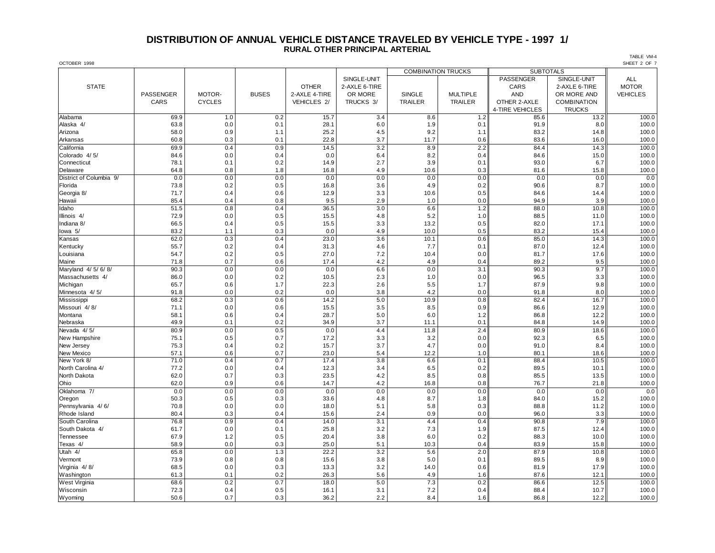## **DISTRIBUTION OF ANNUAL VEHICLE DISTANCE TRAVELED BY VEHICLE TYPE - 1997 1/ RURAL OTHER PRINCIPAL ARTERIAL**

OCTOBER 1998 SHEET 2 OF 7 COMBINATION TRUCKS **SUBTOTALS** SINGLE-UNIT **ALL PASSENGER** SINGLE-UNIT ALL STATE OTHER 2-AXLE 6-TIRE CARS 2-AXLE 6-TIRE MOTOR PASSENGER | MOTOR- | BUSES |2-AXLE 4-TIRE | OR MORE | SINGLE | MULTIPLE || AND | OR MORE AND || VEHICLES CARS CYCLES VEHICLES 2/ TRUCKS 3/ TRAILER TRAILER OTHER 2-AXLE COMBINATION 4-TIRE VEHICLES TRUCKS Alabama 69.9 1.0 0.2 15.7 3.4 8.6 1.2 85.6 13.2 100.0 Alaska 4/ 63.8 | 0.0 | 0.1 | 28.1 | 6.0 | 1.9 | 0.1 | 91.9 | 8.0 || 100.0 Arizona 58.0 0.9 1.1 25.2 4.5 9.2 1.1 83.2 14.8 100.0 Arkansas 60.8 0.3 0.1 22.8 3.7 11.7 0.6 83.6 16.0 100.0 California 69.9 0.4 0.9 14.5 3.2 8.9 2.2 84.4 14.3 100.0 Colorado 4/ 5/ 84.6 | 0.0 | 0.0 | 6.4 | 8.2 | 0.4 | 84.6 | 100.0 Connecticut 78.1 | 0.1 | 0.2 | 14.9 | 3.9 | 0.1 | 93.0 | 6.7 || 100.0 Delaware 64.8 | 0.8 | 1.8 | 16.8 | 4.9 | 10.6 | 81.6 | 15.8 || 100.0 اً District of Columbia 9/ | 0.0 0.0 | 0.0 | 0.0 | 0.0 | 0.0 | 0.0 | 0.0 | 0.0 | 0.0 | 0.0 | 0.0 | 0.0 | 0.0 | Florida 73.8 0.2 0.5 16.8 3.6 4.9 0.2 90.6 8.7 100.0 Georgia 8/ 71.7 | 0.4 | 0.6 | 12.9 | 3.3 | 10.6 | 0.5 | 84.6 | 14.4 || 100.0 Hawaii 85.4 0.4 0.8 9.5 2.9 1.0 0.0 94.9 3.9 100.0 Idaho 51.5 0.8 0.4 36.5 3.0 6.6 1.2 88.0 10.8 100.0 Illinois 4/ 72.9 0.0 0.5 15.5 4.8 5.2 1.0 88.5 11.0 100.0 Indiana 8/ 66.5 | 0.4 | 0.5 | 15.5 | 13.2 | 0.5 | 82.0 | 17.1 || 100.0 Iowa 5/ 83.2 | 1.1 | 0.3 | 0.0 | 4.9 | 10.0 | 0.5 || 83.2 | 15.4 || 100.0 Kansas 62.0 0.3 0.4 23.0 3.6 10.1 0.6 85.0 14.3 100.0 Kentucky 55.7 | 0.2 | 0.4 | 31.3 | 4.6 | 7.7 | 0.1 || 87.0 | 12.4 || 100.0 Louisiana 54.7 0.2 0.5 27.0 7.2 10.4 0.0 81.7 17.6 100.0 Maine 71.8 | 0.7 | 0.6 | 17.4 | 4.2 | 4.9 | 0.4 | 89.2 | 9.5 || 100.0 Maryland 4/ 5/ 6/ 8/ | 90.3 | 0.0 | 0.0 | 6.6 | 0.0 | 3.1 | 90.3 | 100.0 Massachusetts 4/ | 86.0 | 0.0 | 0.2 | 10.5 | 1.0 | 0.0 | 96.5 | 100.0 Michigan 65.7 0.6 1.7 22.3 2.6 5.5 1.7 87.9 9.8 100.0 Minnesota 4/ 5/ | 91.8 | 0.0 | 0.2 | 0.3 | 4.2 | 0.0 | 91.8 | 100.0 Mississippi | 68.2 | 0.3 | 0.6 | 14.2 | 5.0 | 10.9 | 82.4 | 16.7 || 100.0 Missouri 4/ 8/ 71.1 | 0.0 | 0.6 | 15.5 | 8.5 | 0.9 | 86.6 | 12.9 || 100.0 Montana 58.1 | 0.6 | 0.4 | 28.7 | 5.0 | 6.0 | 1.2 || 86.8 | 12.2 || 100.0 Nebraska 49.9 0.1 0.2 34.9 3.7 11.1 0.1 84.8 14.9 100.0 Nevada 4/5/ | 80.9 | 0.0 | 0.5 | 0.0 | 4.4 | 11.8 | 2.4 | 80.9 | 1 New Hampshire 75.1 | 0.5 | 0.7 | 17.2 | 3.3 | 0.0 | 92.3 | 6.5 || 100.0 New Jersey 75.3 | 0.4 | 0.2 | 15.7 | 4.7 | 0.0 | 91.0 | 8.4 || 100.0 New Mexico 57.1 | 0.6 | 0.7 | 23.0 | 5.4 | 12.2 | 1.0 || 80.1 | 18.6 || 100.0 New York 8/ 71.0 | 0.4 | 0.7 | 17.4 | 3.8 | 6.6 | 0.1 | 88.4 | 100.0 North Carolina 4/ 77.2 0.0 0.4 12.3 3.4 6.5 0.2 89.5 10.1 100.0 North Dakota 62.0 | 0.7 | 0.3 | 23.5 | 8.5 | 100.0 1 Ohio 62.0 0.9 0.6 14.7 4.2 16.8 0.8 76.7 21.8 100.0 Oklahoma 7/ 0.0 0.0 0.0 0.0 0.0 0.0 0.0 0.0 0.0 Oregon 50.3 | 0.5 | 0.3 | 33.6 | 4.8 | 1.8 | 1.8 || 15.2 || 100.0 Pennsylvania 4/ 6/ | 70.8 | 0.0 | 18.0 | 5.1 | 5.8 | 88.8 | 11.2 || 100.0 Rhode Island | 80.4 | 0.3 | 0.4 | 15.6 | 2.4 | 0.9 | 0.0 | 96.0 | 3.3 || 100.0 South Carolina | 76.8 | 0.9 | 0.4 | 14.0 | 3.1 | 4.4 | 0.4 | 90.8 | 7.9 || 100.0 South Dakota 4/ | 61.7 | 0.0 | 0.1 | 25.8 | 3.2 | 7.3 | 1.9 || 87.5 | 12.4 || 100.0 Tennessee 67.9 1.2 0.5 20.4 3.8 6.0 0.2 88.3 10.0 100.0 Texas 4/ 58.9 | 0.0 | 0.3 | 25.0 | 5.1 | 10.3 | 0.4 | 83.9 | 15.8 || 100.0 Utah 4/ 65.8 | 0.0 | 1.3 | 22.2 | 3.2 | 5.6 | 2.0 | 87.9 | 100.0 Vermont 73.9 | 0.8 | 15.6 | 3.8 | 5.0 | 0.1 | 89.5 | 100.0 Virginia 4/ 8/ 68.5 0.0 0.3 13.3 3.2 14.0 0.6 81.9 17.9 100.0 Washington | 61.3 | 0.1 | 0.2 | 26.3 | 5.6 | 4.9 | 1.6 | 87.6 | 12.1 || 100.0 West Virginia | 68.6 | 0.2 | 0.7 | 18.0 | 7.3 | 0.2 || 86.6 | 12.5 || 100.0 Wisconsin 72.3 | 0.4 | 0.5 | 16.1 | 3.1 | 7.2 | 0.4 | 88.4 | 100.0 | Wyoming 50.6 | 0.7 | 0.3 | 36.2 | 2.2 | 1.6 | 1.6 | 12.2 | 100.0

TABLE VM-4<br>SHEET 2 OF 7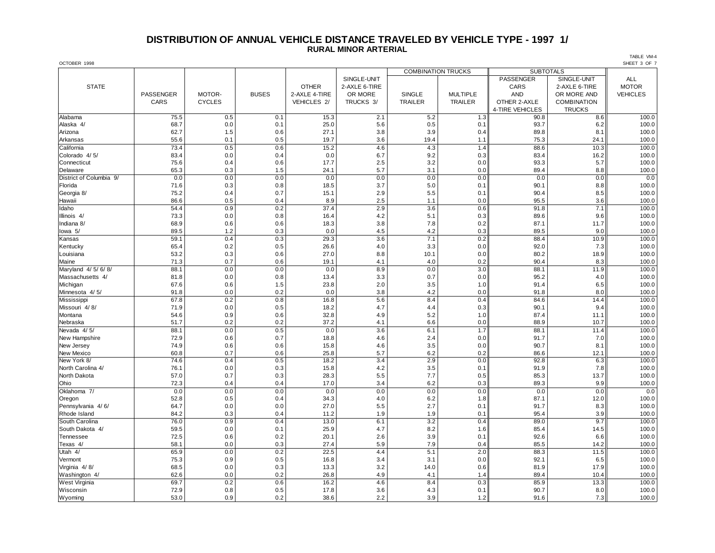# **DISTRIBUTION OF ANNUAL VEHICLE DISTANCE TRAVELED BY VEHICLE TYPE - 1997 1/ RURAL MINOR ARTERIAL**

| OCTOBER 1998            |           |               |              |               |               |                           |                 |                  |               | SHEET 3 OF 7    |
|-------------------------|-----------|---------------|--------------|---------------|---------------|---------------------------|-----------------|------------------|---------------|-----------------|
|                         |           |               |              |               |               | <b>COMBINATION TRUCKS</b> |                 | <b>SUBTOTALS</b> |               |                 |
|                         |           |               |              |               | SINGLE-UNIT   |                           |                 | PASSENGER        | SINGLE-UNIT   | <b>ALL</b>      |
| <b>STATE</b>            |           |               |              | <b>OTHER</b>  | 2-AXLE 6-TIRE |                           |                 | CARS             | 2-AXLE 6-TIRE | <b>MOTOR</b>    |
|                         | PASSENGER | MOTOR-        | <b>BUSES</b> | 2-AXLE 4-TIRE | OR MORE       | <b>SINGLE</b>             | <b>MULTIPLE</b> | <b>AND</b>       | OR MORE AND   | <b>VEHICLES</b> |
|                         | CARS      | <b>CYCLES</b> |              | VEHICLES 2/   | TRUCKS 3/     | TRAILER                   | TRAILER         | OTHER 2-AXLE     | COMBINATION   |                 |
|                         |           |               |              |               |               |                           |                 | 4-TIRE VEHICLES  | <b>TRUCKS</b> |                 |
| Alabama                 | 75.5      | 0.5           | 0.1          | 15.3          | 2.1           | 5.2                       | 1.3             | 90.8             | 8.6           | 100.0           |
| Alaska 4/               | 68.7      | 0.0           | 0.1          | 25.0          | 5.6           | 0.5                       | 0.1             | 93.7             | 6.2           | 100.0           |
| Arizona                 | 62.7      | 1.5           | 0.6          | 27.1          | 3.8           | 3.9                       | 0.4             | 89.8             | 8.1           | 100.0           |
| Arkansas                | 55.6      | 0.1           | 0.5          | 19.7          | 3.6           | 19.4                      | 1.1             | 75.3             | 24.1          | 100.0           |
| California              | 73.4      | 0.5           | 0.6          | 15.2          | 4.6           | 4.3                       | 1.4             | 88.6             | 10.3          | 100.0           |
| Colorado 4/5/           | 83.4      | 0.0           | 0.4          | 0.0           | 6.7           | 9.2                       | 0.3             | 83.4             | 16.2          | 100.0           |
| Connecticut             | 75.6      | 0.4           | 0.6          | 17.7          | 2.5           | 3.2                       | 0.0             | 93.3             | 5.7           | 100.0           |
| Delaware                | 65.3      | 0.3           | 1.5          | 24.1          | 5.7           | 3.1                       | 0.0             | 89.4             | 8.8           | 100.0           |
| District of Columbia 9/ | 0.0       | 0.0           | 0.0          | 0.0           | 0.0           | 0.0                       | 0.0             | 0.0              | 0.0           | 0.0             |
| Florida                 | 71.6      | 0.3           | 0.8          | 18.5          | 3.7           | 5.0                       | 0.1             | 90.1             | 8.8           | 100.0           |
| Georgia 8/              | 75.2      | 0.4           | 0.7          | 15.1          | 2.9           | 5.5                       | 0.1             | 90.4             | 8.5           | 100.0           |
| Hawaii                  | 86.6      | 0.5           | 0.4          | 8.9           | 2.5           | 1.1                       | 0.0             | 95.5             | 3.6           | 100.0           |
| Idaho                   | 54.4      | 0.9           | 0.2          | 37.4          | 2.9           | 3.6                       | 0.6             | 91.8             | 7.1           | 100.0           |
| Illinois 4/             | 73.3      | 0.0           | 0.8          | 16.4          | 4.2           | 5.1                       | 0.3             | 89.6             | 9.6           | 100.0           |
| Indiana 8/              | 68.9      | 0.6           | 0.6          | 18.3          | 3.8           | 7.8                       | 0.2             | 87.1             | 11.7          | 100.0           |
| lowa 5/                 | 89.5      | 1.2           | 0.3          | 0.0           | 4.5           | 4.2                       | 0.3             | 89.5             | 9.0           | 100.0           |
| Kansas                  | 59.1      | 0.4           | 0.3          | 29.3          | 3.6           | 7.1                       | 0.2             | 88.4             | 10.9          | 100.0           |
| Kentucky                | 65.4      | 0.2           | 0.5          | 26.6          | 4.0           | 3.3                       | 0.0             | 92.0             | 7.3           | 100.0           |
| Louisiana               | 53.2      | 0.3           | 0.6          | 27.0          | 8.8           | 10.1                      | 0.0             | 80.2             | 18.9          | 100.0           |
| Maine                   | 71.3      | 0.7           | 0.6          | 19.1          | 4.1           | 4.0                       | 0.2             | 90.4             | 8.3           | 100.0           |
| Maryland 4/ 5/ 6/ 8/    | 88.1      | 0.0           | 0.0          | 0.0           | 8.9           | 0.0                       | 3.0             | 88.1             | 11.9          | 100.0           |
| Massachusetts 4/        | 81.8      | 0.0           | 0.8          | 13.4          | 3.3           | 0.7                       | 0.0             | 95.2             | 4.0           | 100.0           |
| Michigan                | 67.6      | 0.6           | 1.5          | 23.8          | 2.0           | 3.5                       | 1.0             | 91.4             | 6.5           | 100.0           |
| Minnesota 4/5/          | 91.8      | 0.0           | 0.2          | 0.0           | 3.8           | 4.2                       | 0.0             | 91.8             | 8.0           | 100.0           |
| Mississippi             | 67.8      | 0.2           | 0.8          | 16.8          | 5.6           | 8.4                       | 0.4             | 84.6             | 14.4          | 100.0           |
| Missouri 4/8/           | 71.9      | 0.0           | 0.5          | 18.2          | 4.7           | 4.4                       | 0.3             | 90.1             | 9.4           | 100.0           |
| Montana                 | 54.6      | 0.9           | 0.6          | 32.8          | 4.9           | 5.2                       | 1.0             | 87.4             | 11.1          | 100.0           |
| Nebraska                | 51.7      | 0.2           | 0.2          | 37.2          | 4.1           | 6.6                       | 0.0             | 88.9             | 10.7          | 100.0           |
| Nevada 4/5/             | 88.1      | 0.0           | 0.5          | 0.0           | 3.6           | 6.1                       | 1.7             | 88.1             | 11.4          | 100.0           |
| New Hampshire           | 72.9      | 0.6           | 0.7          | 18.8          | 4.6           | 2.4                       | 0.0             | 91.7             | 7.0           | 100.0           |
| New Jersey              | 74.9      | 0.6           | 0.6          | 15.8          | 4.6           | 3.5                       | 0.0             | 90.7             | 8.1           | 100.0           |
| New Mexico              | 60.8      | 0.7           | 0.6          | 25.8          | 5.7           | 6.2                       | 0.2             | 86.6             | 12.1          | 100.0           |
| New York 8/             | 74.6      | 0.4           | 0.5          | 18.2          | 3.4           | 2.9                       | 0.0             | 92.8             | 6.3           | 100.0           |
| North Carolina 4/       | 76.1      | 0.0           | 0.3          | 15.8          | 4.2           | 3.5                       | 0.1             | 91.9             | 7.8           | 100.0           |
| North Dakota            | 57.0      | 0.7           | 0.3          | 28.3          | 5.5           | 7.7                       | 0.5             | 85.3             | 13.7          | 100.0           |
| Ohio                    | 72.3      | 0.4           | 0.4          | 17.0          | 3.4           | 6.2                       | 0.3             | 89.3             | 9.9           | 100.0           |
| Oklahoma 7/             | 0.0       | 0.0           | 0.0          | 0.0           | 0.0           | 0.0                       | 0.0             | 0.0              | 0.0           | 0.0             |
| Oregon                  | 52.8      | 0.5           | 0.4          | 34.3          | 4.0           | 6.2                       | 1.8             | 87.1             | 12.0          | 100.0           |
| Pennsylvania 4/6/       | 64.7      | 0.0           | 0.0          | 27.0          | 5.5           | 2.7                       | 0.1             | 91.7             | 8.3           | 100.0           |
| Rhode Island            | 84.2      | 0.3           | 0.4          | 11.2          | 1.9           | 1.9                       | 0.1             | 95.4             | 3.9           | 100.0           |
| South Carolina          | 76.0      | 0.9           | 0.4          | 13.0          | 6.1           | 3.2                       | 0.4             | 89.0             | 9.7           | 100.0           |
| South Dakota 4/         | 59.5      | 0.0           | 0.1          | 25.9          | 4.7           | 8.2                       | 1.6             | 85.4             | 14.5          | 100.0           |
| Tennessee               | 72.5      | 0.6           | 0.2          | 20.1          | 2.6           | 3.9                       | 0.1             | 92.6             | 6.6           | 100.0           |
| Texas 4/                | 58.1      | 0.0           | 0.3          | 27.4          | 5.9           | 7.9                       | 0.4             | 85.5             | 14.2          | 100.0           |
| Utah 4/                 | 65.9      | 0.0           | 0.2          | 22.5          | 4.4           | 5.1                       | 2.0             | 88.3             | 11.5          | 100.0           |
| Vermont                 | 75.3      | 0.9           | 0.5          | 16.8          | 3.4           | 3.1                       | 0.0             | 92.1             | 6.5           | 100.0           |
| Virginia 4/8/           | 68.5      | 0.0           | 0.3          | 13.3          | 3.2           | 14.0                      | 0.6             | 81.9             | 17.9          | 100.0           |
| Washington 4/           | 62.6      | 0.0           | 0.2          | 26.8          | 4.9           | 4.1                       | 1.4             | 89.4             | 10.4          | 100.0           |
| West Virginia           | 69.7      | 0.2           | 0.6          | 16.2          | 4.6           | 8.4                       | 0.3             | 85.9             | 13.3          | 100.0           |
| Wisconsin               | 72.9      | 0.8           | 0.5          | 17.8          | 3.6           | 4.3                       | 0.1             | 90.7             | 8.0           | 100.0           |
| Wyoming                 | 53.0      | 0.9           | 0.2          | 38.6          | 2.2           | 3.9                       | 1.2             | 91.6             | 7.3           | 100.0           |
|                         |           |               |              |               |               |                           |                 |                  |               |                 |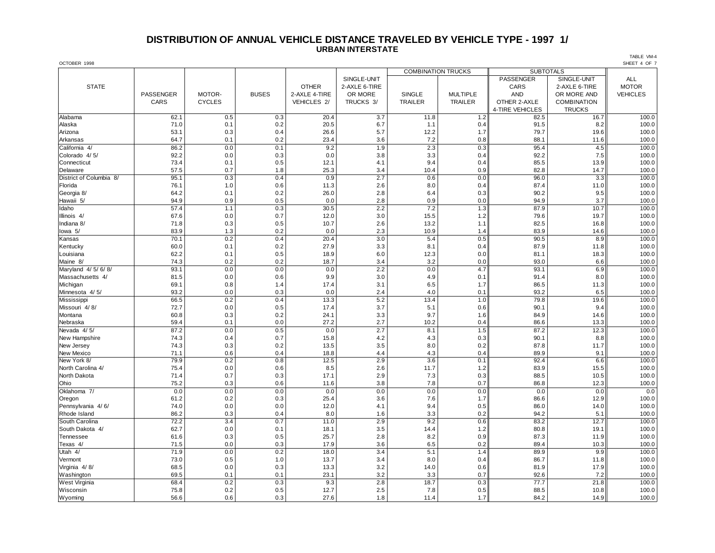#### **DISTRIBUTION OF ANNUAL VEHICLE DISTANCE TRAVELED BY VEHICLE TYPE - 1997 1/ URBAN INTERSTATE**

OCTOBER 1998 SHEET 4 OF 7 COMBINATION TRUCKS **SUBTOTALS** SINGLE-UNIT **ALL PASSENGER** SINGLE-UNIT ALL STATE OTHER 2-AXLE 6-TIRE CARS 2-AXLE 6-TIRE MOTOR PASSENGER | MOTOR- | BUSES |2-AXLE 4-TIRE | OR MORE | SINGLE | MULTIPLE || AND | OR MORE AND || VEHICLES CARS CYCLES VEHICLES 2/ TRUCKS 3/ TRAILER TRAILER OTHER 2-AXLE COMBINATION 4-TIRE VEHICLES TRUCKS Alabama 62.1 0.5 0.3 20.4 3.7 11.8 1.2 82.5 16.7 100.0 Alaska 71.0 | 0.1 | 0.2 | 20.5 | 6.7 | 1.1 | 0.4 | 91.5 | 8.2 || 100.0 Arizona 53.1 0.3 0.4 26.6 5.7 12.2 1.7 79.7 19.6 100.0 Arkansas 64.7 0.1 0.2 23.4 3.6 7.2 0.8 88.1 11.6 100.0 California 4/ 86.2 | 0.0 | 0.1 | 9.2 | 1.9 | 2.3 | 0.3 | 95.4 | 4.5 || 100.0 Colorado 4/ 5/ 92.2 | 0.0 | 0.3 | 3.8 | 3.3 | 0.4 | 92.2 | 7.5 || 100.0 Connecticut 73.4 | 0.1 | 0.5 | 12.1 | 4.1 | 9.4 | 0.4 | 85.5 | 13.9 || 100.0 Delaware 57.5 | 0.7 | 1.8 | 25.3 | 3.4 | 10.4 | 0.9 | 82.8 | 14.7 || 100.0 District of Columbia 8/ | 95.1 | 0.3 | 0.4 | 0.9 | 2.7 | 0.6 | 0.0 | 96.0 | 3.3 || 100.0 Florida 76.1 1.0 0.6 11.3 2.6 8.0 0.4 87.4 11.0 100.0 Georgia 8/ 64.2 | 0.1 | 0.2 | 2.6.0 | 6.4 | 0.3 | 90.2 | 9.5 || 100.0 Hawaii 5/ 94.9 | 0.9 | 0.5 | 0.0 | 2.8 | 0.9 | 0.0 | 94.9 | 100.0 Idaho 57.4 1.1 0.3 30.5 2.2 7.2 1.3 87.9 10.7 100.0 Illinois 4/ 67.6 | 0.0 | 0.7 | 12.0 | 13.0 | 15.5 | 12.2 | 79.6 | 19.7 || 100.0 Indiana 8/ 71.8 | 0.3 | 0.5 | 10.7 | 2.6 | 1.3.2 | 1.1 || 82.5 | 16.8 || 100.0 lowa 5/ 83.9 | 1.3 | 0.2 | 0.0 | 2.3 | 10.9 | 1.4 || 83.9 | 14.6 || 100.0 Kansas 70.1 0.2 0.4 20.4 3.0 5.4 0.5 90.5 8.9 100.0 Kentucky 60.0 | 0.1 | 0.2 | 27.9 | 3.3 | 8.1 | 0.4 | 87.9 | 11.8 || 100.0 Louisiana 62.2 0.1 0.5 18.9 6.0 12.3 0.0 81.1 18.3 100.0 Maine 8/ 74.3 | 0.2 | 0.2 | 18.7 | 3.4 | 3.2 | 0.0 | 93.0 | 6.6 || 100.0 Maryland 4/ 5/ 6/ 8/ | 93.1 | 0.0 | 0.0 | 2.2 | 0.0 | 4.7 | 93.1 | 6.9 || 100.0 Massachusetts 4/ | 81.5 | 0.0 | 0.6 | 9.9 | 3.0 | 4.9 | 0.1 | 91.4 | 8.0 || 100.0 Michigan 69.1 | 0.8 | 1.4 | 17.4 | 6.5 | 1.7 | 86.5 | 11.3 || 100.0 Minnesota 4/ 5/ | 93.2 | 0.0 | 0.0 | 2.4 | 4.0 | 0.1 | 93.2 | 6.5 || 100.0 Mississippi | 66.5 | 0.2 | 0.4 | 13.3 | 5.2 | 13.4 | 1.0 || 79.8 | 19.6 || 100.0 Missouri 4/ 8/ 72.7 0.0 0.5 17.4 3.7 5.1 0.6 90.1 9.4 100.0 Montana 60.8 | 0.3 | 0.2 | 24.1 | 3.3 | 9.7 | 1.6 || 84.9 | 14.6 || 100.0 Nebraska 59.4 0.1 0.0 27.2 2.7 10.2 0.4 86.6 13.3 100.0 Nevada 4/ 5/ 87.2 | 0.0 | 0.0 | 2.7 | 8.1 | 1.5 || 87.2 | 100.0 | 1 New Hampshire 74.3 | 0.4 | 0.7 | 15.8 | 4.2 | 4.3 | 0.3 | 90.1 | 8.8 || 100.0 New Jersey 74.3 | 0.3 | 0.2 | 3.5 | 8.0 | 0.2 | 87.8 | 11.7 || 100.0 New Mexico 71.1 | 0.6 | 0.4 | 4.4 | 4.3 | 0.4 | 89.9 | 9.1 || 100.0 New York 8/ 79.9 0.2 0.8 12.5 2.9 3.6 0.1 92.4 6.6 100.0 North Carolina 4/ | 75.4 | 0.0 | 0.6 | 8.5 | 1.7 | 1.2 | 83.9 | 15.5 || 100.0 North Dakota | 71.4 | 0.7 | 0.3 | 17.1 | 2.9 | 7.3 | 0.3 | 10.5 | 100.0 Ohio 75.2 0.3 0.6 11.6 3.8 7.8 0.7 86.8 12.3 100.0 Oklahoma 7/ 0.0 0.0 0.0 0.0 0.0 0.0 0.0 0.0 0.0 0.0 Oregon 61.2 | 0.2 | 0.3 | 25.4 | 3.6 | 1.7 | 86.6 | 12.9 || 100.0 Pennsylvania 4/ 6/ 74.0 0.0 0.0 12.0 4.1 9.4 0.5 86.0 14.0 100.0 Rhode Island | 86.2 | 0.3 | 0.4 | 8.0 | 1.6 | 3.3 | 0.2 | 94.2 | 5.1 || 100.0 South Carolina | 72.2 | 3.4 | 0.7 | 11.0 | 2.9 | 9.2 | 0.6 | 83.2 | 12.7 || 100.0 South Dakota 4/ | 62.7 | 0.0 | 0.1 | 18.1 | 3.5 | 14.4 | 12.2 || 18.8 | 19.1 || 100.0 Tennessee 61.6 0.3 0.5 25.7 2.8 8.2 0.9 87.3 11.9 100.0 Texas 4/ 71.5 | 0.0 | 0.3 | 17.9 | 3.6 | 6.5 | 0.2 || 89.4 | 10.3 || 100.0 Utah 4/ 71.9 | 0.0 | 0.2 | 18.0 | 3.4 | 1.4 | 89.9 | 9.9 | 100.0 Vermont 73.0 | 0.5 | 1.0 | 13.7 | 3.4 | 8.0 | 0.4 | 86.7 | 11.8 || 100.0 Virginia 4/ 8/ 68.5 0.0 0.3 13.3 3.2 14.0 0.6 81.9 17.9 100.0 Washington 69.5 | 0.1 | 0.1 | 23.1 | 3.2 | 3.3 | 0.7 || 92.6 | 7.2 || 100.0 West Virginia | 68.4 | 0.2 | 0.3 | 9.3 | 18.7 | 0.3 | 77.7 | 21.8 || 100.0 Wisconsin 75.8 | 0.2 | 0.5 | 12.7 | 2.5 | 7.8 | 88.5 | 10.8 | 100.0 Wyoming 56.6 | 0.6 | 0.3 | 27.6 | 1.8 | 11.4 | 1.7 | 84.2 | 14.9 || 100.0

TABLE VM-4<br>SHEET 4 OF 7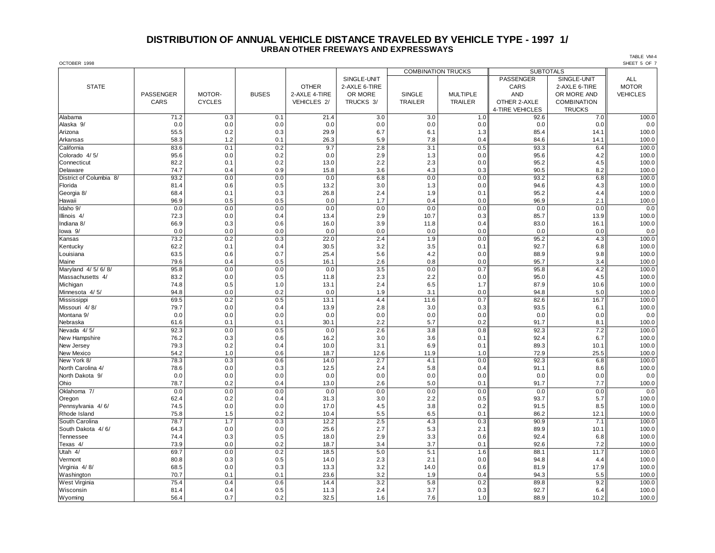#### **DISTRIBUTION OF ANNUAL VEHICLE DISTANCE TRAVELED BY VEHICLE TYPE - 1997 1/ URBAN OTHER FREEWAYS AND EXPRESSWAYS**

| OCTOBER 1998            |           |               |              |               |               |                |                           |                  |                    | SHEET 5 OF 7    |
|-------------------------|-----------|---------------|--------------|---------------|---------------|----------------|---------------------------|------------------|--------------------|-----------------|
|                         |           |               |              |               |               |                | <b>COMBINATION TRUCKS</b> | <b>SUBTOTALS</b> |                    |                 |
|                         |           |               |              |               | SINGLE-UNIT   |                |                           | <b>PASSENGER</b> | SINGLE-UNIT        | <b>ALL</b>      |
| <b>STATE</b>            |           |               |              | <b>OTHER</b>  | 2-AXLE 6-TIRE |                |                           | CARS             | 2-AXLE 6-TIRE      | <b>MOTOR</b>    |
|                         | PASSENGER | MOTOR-        | <b>BUSES</b> | 2-AXLE 4-TIRE | OR MORE       | <b>SINGLE</b>  | <b>MULTIPLE</b>           | <b>AND</b>       | OR MORE AND        | <b>VEHICLES</b> |
|                         | CARS      | <b>CYCLES</b> |              | VEHICLES 2/   | TRUCKS 3/     | <b>TRAILER</b> | TRAILER                   | OTHER 2-AXLE     | <b>COMBINATION</b> |                 |
|                         |           |               |              |               |               |                |                           | 4-TIRE VEHICLES  | <b>TRUCKS</b>      |                 |
| Alabama                 | 71.2      | 0.3           | 0.1          | 21.4          | 3.0           | 3.0            | 1.0                       | 92.6             | 7.0                | 100.0           |
| Alaska 9/               | 0.0       | 0.0           | 0.0          | 0.0           | 0.0           | 0.0            | 0.0                       | 0.0              | 0.0                | 0.0             |
| Arizona                 | 55.5      | 0.2           | 0.3          | 29.9          | 6.7           | 6.1            | 1.3                       | 85.4             | 14.1               | 100.0           |
| Arkansas                | 58.3      | 1.2           | 0.1          | 26.3          | 5.9           | 7.8            | 0.4                       | 84.6             | 14.1               | 100.0           |
| California              | 83.6      | 0.1           | 0.2          | 9.7           | 2.8           | 3.1            | 0.5                       | 93.3             | 6.4                | 100.0           |
| Colorado 4/5/           | 95.6      | 0.0           | 0.2          | 0.0           | 2.9           | 1.3            | 0.0                       | 95.6             | 4.2                | 100.0           |
| Connecticut             | 82.2      | 0.1           | 0.2          | 13.0          | 2.2           | 2.3            | 0.0                       | 95.2             | 4.5                | 100.0           |
| Delaware                | 74.7      | 0.4           | 0.9          | 15.8          | 3.6           | 4.3            | 0.3                       | 90.5             | 8.2                | 100.0           |
| District of Columbia 8/ | 93.2      | 0.0           | 0.0          | 0.0           | 6.8           | 0.0            | 0.0                       | 93.2             | 6.8                | 100.0           |
| Florida                 | 81.4      | 0.6           | 0.5          | 13.2          | 3.0           | 1.3            | 0.0                       | 94.6             | 4.3                | 100.0           |
| Georgia 8/              | 68.4      | 0.1           | 0.3          | 26.8          | 2.4           | 1.9            | 0.1                       | 95.2             | 4.4                | 100.0           |
| Hawaii                  | 96.9      | 0.5           | 0.5          | 0.0           | 1.7           | 0.4            | 0.0                       | 96.9             | 2.1                | 100.0           |
| Idaho 9/                | 0.0       | 0.0           | 0.0          | 0.0           | 0.0           | 0.0            | 0.0                       | 0.0              | 0.0                | 0.0             |
| Illinois 4/             | 72.3      | 0.0           | 0.4          | 13.4          | 2.9           | 10.7           | 0.3                       | 85.7             | 13.9               | 100.0           |
| Indiana 8/              | 66.9      | 0.3           | 0.6          | 16.0          | 3.9           | 11.8           | 0.4                       | 83.0             | 16.1               | 100.0           |
| lowa 9/                 | 0.0       | 0.0           | 0.0          | 0.0           | 0.0           | 0.0            | 0.0                       | 0.0              | 0.0                | 0.0             |
| Kansas                  | 73.2      | 0.2           | 0.3          | 22.0          | 2.4           | 1.9            | 0.0                       | 95.2             | 4.3                | 100.0           |
| Kentucky                | 62.2      | 0.1           | 0.4          | 30.5          | 3.2           | 3.5            | 0.1                       | 92.7             | 6.8                | 100.0           |
| Louisiana               | 63.5      | 0.6           | 0.7          | 25.4          | 5.6           | 4.2            | 0.0                       | 88.9             | 9.8                | 100.0           |
| Maine                   | 79.6      | 0.4           | 0.5          | 16.1          | 2.6           | 0.8            | 0.0                       | 95.7             | 3.4                | 100.0           |
| Maryland 4/ 5/ 6/ 8/    | 95.8      | 0.0           | 0.0          | 0.0           | 3.5           | 0.0            | 0.7                       | 95.8             | 4.2                | 100.0           |
| Massachusetts 4/        | 83.2      | 0.0           | 0.5          | 11.8          | 2.3           | 2.2            | 0.0                       | 95.0             | 4.5                | 100.0           |
| Michigan                | 74.8      | 0.5           | 1.0          | 13.1          | 2.4           | 6.5            | 1.7                       | 87.9             | 10.6               | 100.0           |
| Minnesota 4/5/          | 94.8      | 0.0           | 0.2          | 0.0           | 1.9           | 3.1            | 0.0                       | 94.8             | 5.0                | 100.0           |
| Mississippi             | 69.5      | 0.2           | 0.5          | 13.1          | 4.4           | 11.6           | 0.7                       | 82.6             | 16.7               | 100.0           |
| Missouri 4/8/           | 79.7      | 0.0           | 0.4          | 13.9          | 2.8           | 3.0            | 0.3                       | 93.5             | 6.1                | 100.0           |
| Montana 9/              | 0.0       | 0.0           | 0.0          | 0.0           | 0.0           | 0.0            | 0.0                       | 0.0              | 0.0                | 0.0             |
| Nebraska                | 61.6      | 0.1           | 0.1          | 30.1          | 2.2           | 5.7            | 0.2                       | 91.7             | 8.1                | 100.0           |
| Nevada 4/5/             | 92.3      | 0.0           | 0.5          | 0.0           | 2.6           | 3.8            | 0.8                       | 92.3             | 7.2                | 100.0           |
| New Hampshire           | 76.2      | 0.3           | 0.6          | 16.2          | 3.0           | 3.6            | 0.1                       | 92.4             | 6.7                | 100.0           |
| New Jersey              | 79.3      | 0.2           | 0.4          | 10.0          | 3.1           | 6.9            | 0.1                       | 89.3             | 10.1               | 100.0           |
| New Mexico              | 54.2      | 1.0           | 0.6          | 18.7          | 12.6          | 11.9           | 1.0                       | 72.9             | 25.5               | 100.0           |
| New York 8/             | 78.3      | 0.3           | 0.6          | 14.0          | 2.7           | 4.1            | 0.0                       | 92.3             | 6.8                | 100.0           |
| North Carolina 4/       | 78.6      | 0.0           | 0.3          | 12.5          | 2.4           | 5.8            | 0.4                       | 91.1             | 8.6                | 100.0           |
| North Dakota 9/         | 0.0       | 0.0           | 0.0          | 0.0           | 0.0           | 0.0            | 0.0                       | 0.0              | 0.0                | 0.0             |
| Ohio                    | 78.7      | 0.2           | 0.4          | 13.0          | 2.6           | 5.0            | 0.1                       | 91.7             | 7.7                | 100.0           |
| Oklahoma 7/             | 0.0       | 0.0           | 0.0          | 0.0           | 0.0           | 0.0            | 0.0                       | 0.0              | 0.0                | 0.0             |
| Oregon                  | 62.4      | 0.2           | 0.4          | 31.3          | 3.0           | 2.2            | 0.5                       | 93.7             | 5.7                | 100.0           |
| Pennsylvania 4/6/       | 74.5      | 0.0           | 0.0          | 17.0          | 4.5           | 3.8            | 0.2                       | 91.5             | 8.5                | 100.0           |
| Rhode Island            | 75.8      | 1.5           | 0.2          | 10.4          | 5.5           | 6.5            | 0.1                       | 86.2             | 12.1               | 100.0           |
| South Carolina          | 78.7      | 1.7           | 0.3          | 12.2          | 2.5           | 4.3            | 0.3                       | 90.9             | 7.1                | 100.0           |
| South Dakota 4/6/       | 64.3      | 0.0           | 0.0          | 25.6          | 2.7           | 5.3            | 2.1                       | 89.9             | 10.1               | 100.0           |
| Tennessee               | 74.4      | 0.3           | 0.5          | 18.0          | 2.9           | 3.3            | 0.6                       | 92.4             | 6.8                | 100.0           |
| Texas 4/                | 73.9      | 0.0           | 0.2          | 18.7          | 3.4           | 3.7            | 0.1                       | 92.6             | 7.2                | 100.0           |
| Utah 4/                 | 69.7      | 0.0           | 0.2          | 18.5          | 5.0           | 5.1            | 1.6                       | 88.1             | 11.7               | 100.0           |
| Vermont                 | 80.8      | 0.3           | 0.5          | 14.0          | 2.3           | 2.1            | 0.0                       | 94.8             | 4.4                | 100.0           |
| Virginia 4/8/           | 68.5      | 0.0           | 0.3          | 13.3          | 3.2           | 14.0           | 0.6                       | 81.9             | 17.9               | 100.0           |
| Washington              | 70.7      | 0.1           | 0.1          | 23.6          | 3.2           | 1.9            | 0.4                       | 94.3             | 5.5                | 100.0           |
| <b>West Virginia</b>    | 75.4      | 0.4           | 0.6          | 14.4          | 3.2           | 5.8            | 0.2                       | 89.8             | 9.2                | 100.0           |
| Wisconsin               | 81.4      | 0.4           | 0.5          | 11.3          | 2.4           | 3.7            | 0.3                       | 92.7             | 6.4                | 100.0           |
| Wyoming                 | 56.4      | 0.7           | 0.2          | 32.5          | 1.6           | 7.6            | 1.0                       | 88.9             | 10.2               | 100.0           |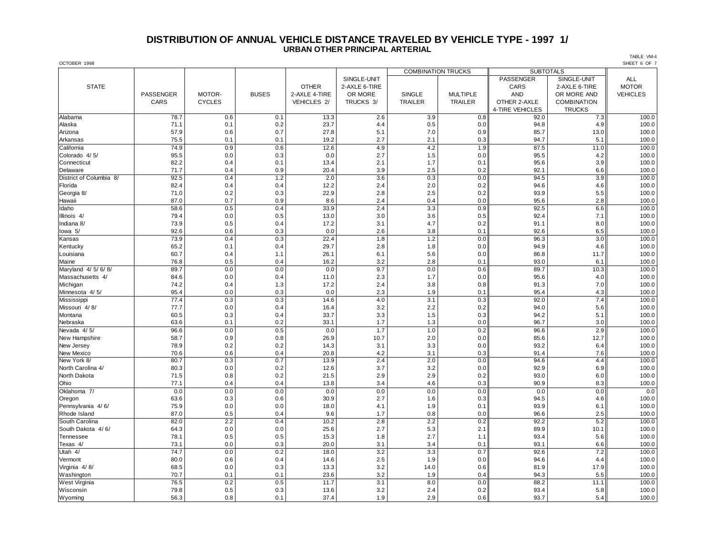## **DISTRIBUTION OF ANNUAL VEHICLE DISTANCE TRAVELED BY VEHICLE TYPE - 1997 1/ URBAN OTHER PRINCIPAL ARTERIAL**

OCTOBER 1998 SHEET 6 OF 7 COMBINATION TRUCKS **SUBTOTALS** SINGLE-UNIT **ALL PASSENGER** SINGLE-UNIT ALL STATE OTHER 2-AXLE 6-TIRE CARS 2-AXLE 6-TIRE MOTOR PASSENGER | MOTOR- | BUSES |2-AXLE 4-TIRE | OR MORE | SINGLE | MULTIPLE || AND | OR MORE AND || VEHICLES CARS CYCLES VEHICLES 2/ TRUCKS 3/ TRAILER TRAILER OTHER 2-AXLE COMBINATION 4-TIRE VEHICLES | TRUCKS Alabama 78.7 0.6 0.1 13.3 2.6 3.9 0.8 92.0 7.3 100.0 Alaska 71.1 | 0.1 | 0.2 | 23.7 | 4.4 | 0.5 | 0.0 | 94.8 | 4.9 || 100.0 Arizona 57.9 0.6 0.7 27.8 5.1 7.0 0.9 85.7 13.0 100.0 Arkansas 75.5 0.1 19.2 2.7 0.3 94.7 5.1 100.0 California 74.9 0.9 0.6 12.6 4.9 1.9 87.5 11.0 100.0 Colorado 4/ 5/ 95.5 | 0.0 | 0.0 | 2.7 | 1.5 | 0.0 | 95.5 | 100.0 Connecticut 82.2 0.4 0.1 13.4 2.1 1.7 0.1 95.6 3.9 100.0 Delaware 71.7 | 0.4 | 0.9 | 20.4 | 3.9 | 2.5 | 0.2 || 92.1 | 6.6 || 100.0 District of Columbia 8/ | 92.5 | 0.4 | 1.2 | 2.0 | 3.6 | 0.3 | 0.0 | 94.5 | 3.9 | 100.0 Florida 82.4 0.4 0.4 12.2 2.4 2.0 0.2 94.6 4.6 100.0 Georgia 8/ 71.0 | 0.2 | 0.3 | 2.8 | 2.5 | 0.2 | 93.9 | 5.5 || 100.0 Hawaii 87.0 0.7 0.9 8.6 2.4 0.4 0.0 95.6 2.8 100.0 Idaho 58.6 0.5 0.4 33.9 2.4 3.3 0.9 92.5 6.6 100.0 Illinois 4/ 79.4 | 0.0 | 0.5 | 3.0 | 3.6 | 0.5 | 92.4 | 7.1 || 100.0 Indiana 8/ | 73.9 | 0.5 | 0.4 | 17.2 | 3.1 | 4.7 | 91.2 | 100.0 Iowa 5/ 92.6 0.6 0.3 0.0 2.6 3.8 0.1 92.6 6.5 100.0 Kansas 73.9 0.4 0.3 22.4 1.8 1.2 0.0 96.3 3.0 100.0 Kentucky 65.2 | 0.1 | 0.4 | 29.7 | 2.8 | 1.8 | 0.0 | 94.9 | 4.6 || 100.0 Louisiana 60.7 0.4 1.1 26.1 6.1 5.6 0.0 86.8 11.7 100.0 Maine 76.8 | 0.5 | 0.4 | 16.2 | 3.2 | 2.8 | 0.1 || 93.0 | 6.1 || 100.0 Maryland 4/ 5/ 6/ 8/ 8/ | 89.7 | 0.0 | 0.0 | 9.7 | 0.0 | 100.0 | 100.0 Massachusetts 4/ | 84.6 | 0.0 | 0.4 | 11.0 | 2.3 | 1.7 | 0.0 | 95.6 | 4.0 || 100.0 Michigan 74.2 0.4 1.3 17.2 2.4 3.8 91.3 7.0 100.0 Minnesota 4/ 5/ | 95.4 | 0.0 | 0.3 | 2.3 | 1.9 | 0.1 | 95.4 | 100.0 Mississippi | 77.4 0.3 0.3 0.3 14.6 4.0 3.1 0.3 92.0 92.0 7.4 100.0 Missouri 4/ 8/ 77.7 | 0.0 | 0.4 | 16.4 | 3.2 | 0.2 | 94.0 | 5.6 || 100.0 Montana 60.5 | 0.3 | 0.4 | 33.7 | 3.3 | 1.5 | 0.3 | 94.2 | 5.1 || 100.0 Nebraska 63.6 0.1 0.2 33.1 1.7 1.3 0.0 96.7 3.0 100.0 Nevada 4/5/ | 96.6 | 0.0 | 0.5 | 0.7 | 1.0 | 0.2 || 96.6 | 100.0 New Hampshire 58.7 | 0.9 | 0.8 | 26.9 | 10.7 | 2.0 | 0.0 | 85.6 | 12.7 || 100.0 New Jersey 78.9 | 0.2 | 0.2 | 14.3 | 3.3 | 0.0 | 93.2 | 6.4 || 100.0 New Mexico 70.6 | 0.6 | 0.4 | 20.8 | 4.2 | 3.1 | 0.3 | 91.4 | 7.6 | 100.0 New York 8/ 80.7 | 0.3 | 0.7 | 13.9 | 2.4 | 0.0 | 94.6 | 4.4 || 100.0 North Carolina 4/ | 80.3 | 0.0 | 0.2 | 12.6 | 3.7 | 3.2 | 0.0 | 92.9 | 6.9 || 100.0 North Dakota | 71.5 | 0.8 | 0.2 | 2.5 | 2.9 | 0.2 | 93.0 | 6.0 || 100.0 Ohio 77.1 0.4 0.4 13.8 3.4 4.6 0.3 90.9 8.3 100.0 Oklahoma 7/ 0.0 0.0 0.0 0.0 0.0 0.0 0.0 0.0 0.0 Oregon 63.6 | 0.3 | 0.6 | 30.9 | 2.7 | 1.6 | 0.3 | 94.5 | 4.6 || 100.0 Pennsylvania 4/ 6/ 75.9 0.0 0.0 18.0 4.1 1.9 0.1 93.9 6.1 100.0 Rhode Island | 87.0 | 0.5 | 0.4 | 9.6 | 1.7 | 0.8 | 0.0 | 96.6 | 2.5 || 100.0 South Carolina | 82.0 | 2.2 | 0.4 | 10.2 | 2.2 | 0.2 | 100.0 South Dakota 4/ 6/ | 64.3 | 0.0 | 0.0 | 25.6 | 2.7 | 5.3 | 2.1 | 89.9 | 10.1 || 100.0 Tennessee | 78.1 | 0.5 | 0.5 | 15.3 | 1.8 | 2.7 | 1.1 | 93.4 | 5.6 | 100.0 Texas 4/ 0.0 | 0.3 | 3.1 | 3.4 | 0.1 | 6.6 | 100.0 Utah 4/ 74.7 | 0.0 | 0.2 | 18.0 | 3.2 | 1.33 | 0.7 || 92.6 | 7.2 || 100.0 Vermont 80.0 | 0.6 | 0.4 | 14.6 | 2.5 | 1.9 | 0.0 | 94.6 | 4.4 || 100.0 Virginia 4/ 8/ 68.5 0.0 0.3 13.3 3.2 14.0 0.6 81.9 17.9 100.0 Washington 70.7 0.1 0.1 23.6 3.2 1.9 0.4 94.3 5.5 100.0 West Virginia | 76.5 | 0.2 | 0.5 | 11.7 | 3.1 | 8.0 | 88.2 | 11.1 || 100.0 Wisconsin 79.8 | 0.5 | 0.3 | 13.6 | 3.2 | 0.2 | 93.4 | 5.8 || 100.0 Wyoming 56.3 | 0.8 | 0.1 | 37.4 | 1.9 | 2.9 | 0.6 | 93.7 | 5.4 | 100.0